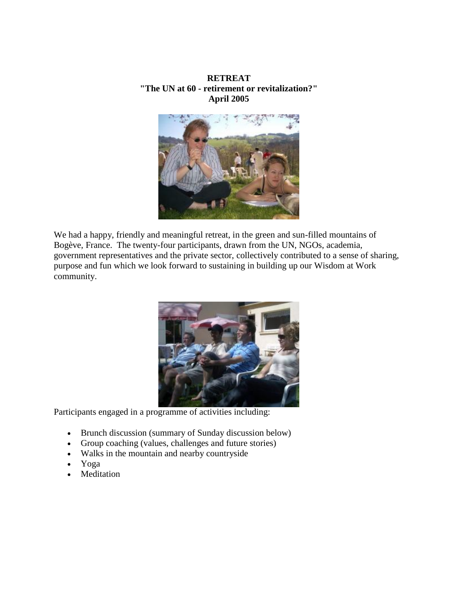**RETREAT "The UN at 60 - retirement or revitalization?" April 2005**



We had a happy, friendly and meaningful retreat, in the green and sun-filled mountains of Bogève, France. The twenty-four participants, drawn from the UN, NGOs, academia, government representatives and the private sector, collectively contributed to a sense of sharing, purpose and fun which we look forward to sustaining in building up our Wisdom at Work community.



Participants engaged in a programme of activities including:

- Brunch discussion (summary of Sunday discussion below)
- Group coaching (values, challenges and future stories)
- Walks in the mountain and nearby countryside
- Yoga
- Meditation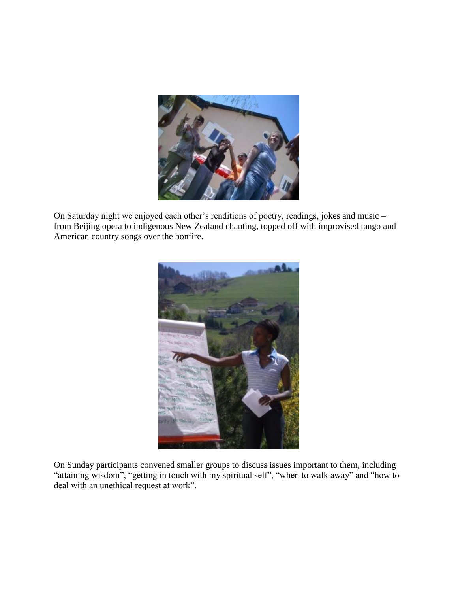

On Saturday night we enjoyed each other's renditions of poetry, readings, jokes and music – from Beijing opera to indigenous New Zealand chanting, topped off with improvised tango and American country songs over the bonfire.



On Sunday participants convened smaller groups to discuss issues important to them, including "attaining wisdom", "getting in touch with my spiritual self", "when to walk away" and "how to deal with an unethical request at work".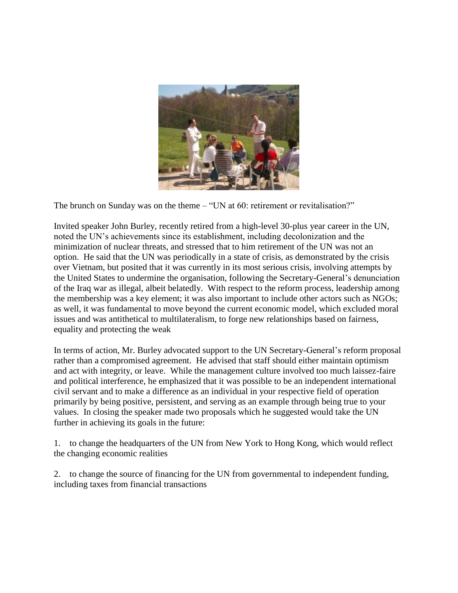

The brunch on Sunday was on the theme – "UN at 60: retirement or revitalisation?"

Invited speaker John Burley, recently retired from a high-level 30-plus year career in the UN, noted the UN's achievements since its establishment, including decolonization and the minimization of nuclear threats, and stressed that to him retirement of the UN was not an option. He said that the UN was periodically in a state of crisis, as demonstrated by the crisis over Vietnam, but posited that it was currently in its most serious crisis, involving attempts by the United States to undermine the organisation, following the Secretary-General's denunciation of the Iraq war as illegal, albeit belatedly. With respect to the reform process, leadership among the membership was a key element; it was also important to include other actors such as NGOs; as well, it was fundamental to move beyond the current economic model, which excluded moral issues and was antithetical to multilateralism, to forge new relationships based on fairness, equality and protecting the weak

In terms of action, Mr. Burley advocated support to the UN Secretary-General's reform proposal rather than a compromised agreement. He advised that staff should either maintain optimism and act with integrity, or leave. While the management culture involved too much laissez-faire and political interference, he emphasized that it was possible to be an independent international civil servant and to make a difference as an individual in your respective field of operation primarily by being positive, persistent, and serving as an example through being true to your values. In closing the speaker made two proposals which he suggested would take the UN further in achieving its goals in the future:

1. to change the headquarters of the UN from New York to Hong Kong, which would reflect the changing economic realities

2. to change the source of financing for the UN from governmental to independent funding, including taxes from financial transactions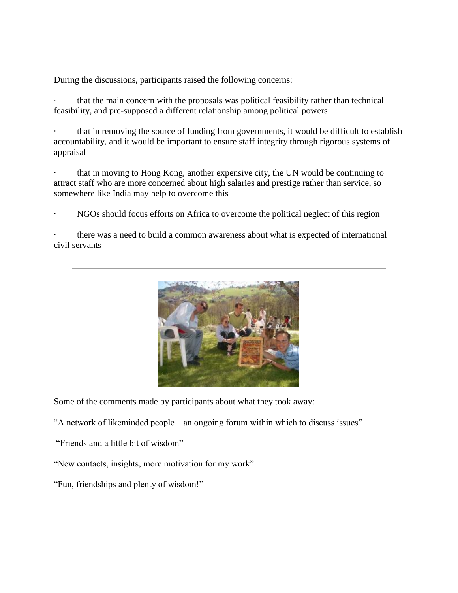During the discussions, participants raised the following concerns:

· that the main concern with the proposals was political feasibility rather than technical feasibility, and pre-supposed a different relationship among political powers

that in removing the source of funding from governments, it would be difficult to establish accountability, and it would be important to ensure staff integrity through rigorous systems of appraisal

· that in moving to Hong Kong, another expensive city, the UN would be continuing to attract staff who are more concerned about high salaries and prestige rather than service, so somewhere like India may help to overcome this

· NGOs should focus efforts on Africa to overcome the political neglect of this region

there was a need to build a common awareness about what is expected of international civil servants



Some of the comments made by participants about what they took away:

"A network of likeminded people – an ongoing forum within which to discuss issues"

"Friends and a little bit of wisdom"

"New contacts, insights, more motivation for my work"

"Fun, friendships and plenty of wisdom!"